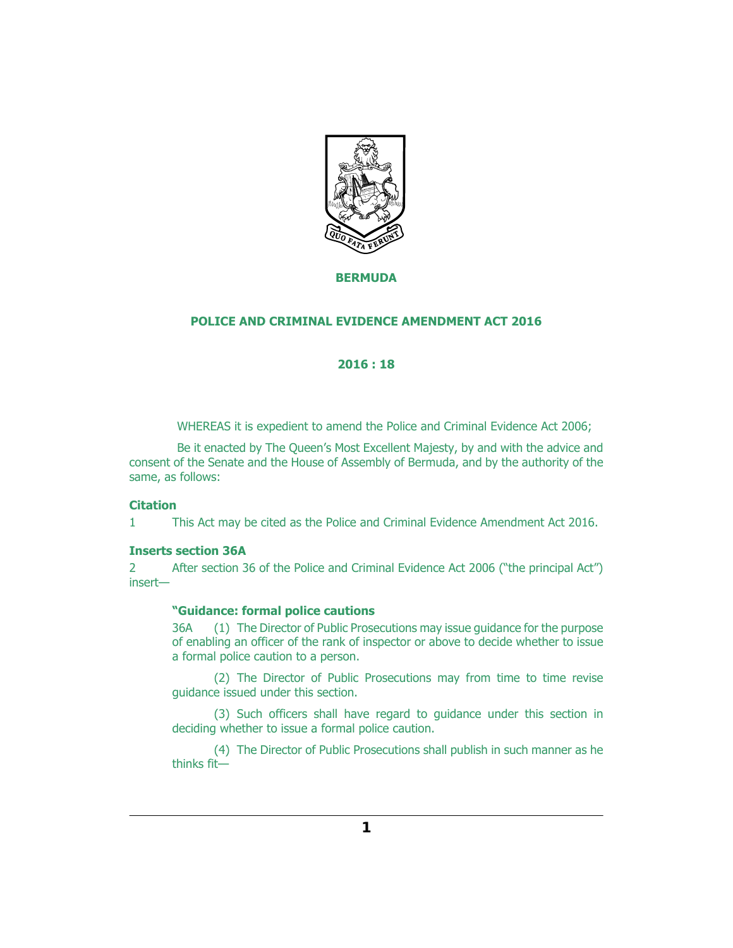

## **BERMUDA**

## **POLICE AND CRIMINAL EVIDENCE AMENDMENT ACT 2016**

# **2016 : 18**

WHEREAS it is expedient to amend the Police and Criminal Evidence Act 2006;

Be it enacted by The Queen's Most Excellent Majesty, by and with the advice and consent of the Senate and the House of Assembly of Bermuda, and by the authority of the same, as follows:

#### **Citation**

This Act may be cited as the Police and Criminal Evidence Amendment Act 2016. 1

#### **Inserts section 36A**

After section 36 of the Police and Criminal Evidence Act 2006 ("the principal Act") insert—  $\mathcal{L}$ 

#### **"Guidance: formal police cautions**

(1) The Director of Public Prosecutions may issue guidance for the purpose of enabling an officer of the rank of inspector or above to decide whether to issue a formal police caution to a person. 36A

(2) The Director of Public Prosecutions may from time to time revise guidance issued under this section.

(3) Such officers shall have regard to guidance under this section in deciding whether to issue a formal police caution.

(4) The Director of Public Prosecutions shall publish in such manner as he thinks fit—